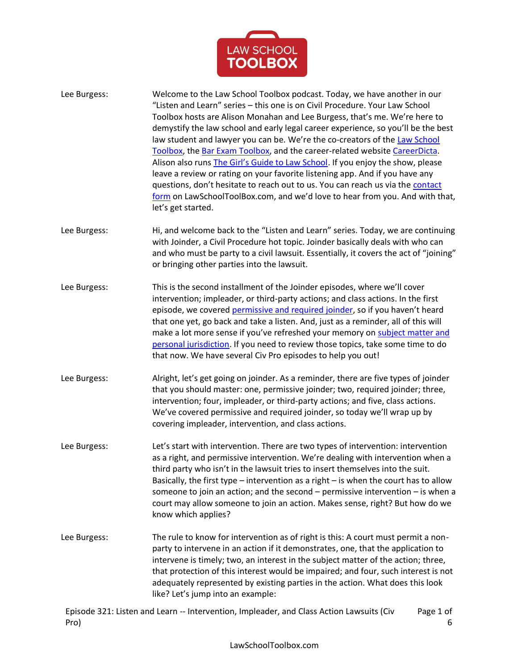

- Lee Burgess: Welcome to the Law School Toolbox podcast. Today, we have another in our "Listen and Learn" series – this one is on Civil Procedure. Your Law School Toolbox hosts are Alison Monahan and Lee Burgess, that's me. We're here to demystify the law school and early legal career experience, so you'll be the best law student and lawyer you can be. We're the co-creators of the Law School [Toolbox,](https://lawschooltoolbox.com/) th[e Bar Exam Toolbox,](https://barexamtoolbox.com/) and the career-related websit[e CareerDicta.](https://lawschooltoolbox.com/careerdicta/) Alison also runs [The Girl's Guide to Law School](https://thegirlsguidetolawschool.com/). If you enjoy the show, please leave a review or rating on your favorite listening app. And if you have any questions, don't hesitate to reach out to us. You can reach us via the contact [form](https://lawschooltoolbox.com/contact/) on LawSchoolToolBox.com, and we'd love to hear from you. And with that, let's get started.
- Lee Burgess: Hi, and welcome back to the "Listen and Learn" series. Today, we are continuing with Joinder, a Civil Procedure hot topic. Joinder basically deals with who can and who must be party to a civil lawsuit. Essentially, it covers the act of "joining" or bringing other parties into the lawsuit.
- Lee Burgess: This is the second installment of the Joinder episodes, where we'll cover intervention; impleader, or third-party actions; and class actions. In the first episode, we covered [permissive and required joinder](https://barexamtoolbox.com/podcast-episode-145-listen-and-learn-permissive-joinder-and-required-joinder/), so if you haven't heard that one yet, go back and take a listen. And, just as a reminder, all of this will make a lot more sense if you've refreshed your memory on subject matter and [personal jurisdiction.](https://lawschooltoolbox.com/podcast-episode-263-listen-and-learn-subject-matter-jurisdiction/) If you need to review those topics, take some time to do that now. We have several Civ Pro episodes to help you out!
- Lee Burgess: Alright, let's get going on joinder. As a reminder, there are five types of joinder that you should master: one, permissive joinder; two, required joinder; three, intervention; four, impleader, or third-party actions; and five, class actions. We've covered permissive and required joinder, so today we'll wrap up by covering impleader, intervention, and class actions.
- Lee Burgess: Let's start with intervention. There are two types of intervention: intervention as a right, and permissive intervention. We're dealing with intervention when a third party who isn't in the lawsuit tries to insert themselves into the suit. Basically, the first type – intervention as a right – is when the court has to allow someone to join an action; and the second – permissive intervention – is when a court may allow someone to join an action. Makes sense, right? But how do we know which applies?
- Lee Burgess: The rule to know for intervention as of right is this: A court must permit a nonparty to intervene in an action if it demonstrates, one, that the application to intervene is timely; two, an interest in the subject matter of the action; three, that protection of this interest would be impaired; and four, such interest is not adequately represented by existing parties in the action. What does this look like? Let's jump into an example:

Episode 321: Listen and Learn -- Intervention, Impleader, and Class Action Lawsuits (Civ Pro) Page 1 of 6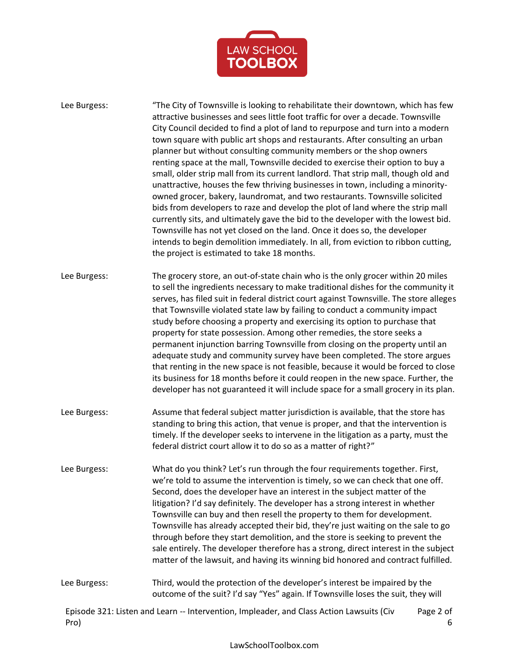

| Lee Burgess: | "The City of Townsville is looking to rehabilitate their downtown, which has few<br>attractive businesses and sees little foot traffic for over a decade. Townsville<br>City Council decided to find a plot of land to repurpose and turn into a modern<br>town square with public art shops and restaurants. After consulting an urban<br>planner but without consulting community members or the shop owners<br>renting space at the mall, Townsville decided to exercise their option to buy a<br>small, older strip mall from its current landlord. That strip mall, though old and<br>unattractive, houses the few thriving businesses in town, including a minority-<br>owned grocer, bakery, laundromat, and two restaurants. Townsville solicited<br>bids from developers to raze and develop the plot of land where the strip mall<br>currently sits, and ultimately gave the bid to the developer with the lowest bid.<br>Townsville has not yet closed on the land. Once it does so, the developer<br>intends to begin demolition immediately. In all, from eviction to ribbon cutting,<br>the project is estimated to take 18 months. |
|--------------|---------------------------------------------------------------------------------------------------------------------------------------------------------------------------------------------------------------------------------------------------------------------------------------------------------------------------------------------------------------------------------------------------------------------------------------------------------------------------------------------------------------------------------------------------------------------------------------------------------------------------------------------------------------------------------------------------------------------------------------------------------------------------------------------------------------------------------------------------------------------------------------------------------------------------------------------------------------------------------------------------------------------------------------------------------------------------------------------------------------------------------------------------|
| Lee Burgess: | The grocery store, an out-of-state chain who is the only grocer within 20 miles<br>to sell the ingredients necessary to make traditional dishes for the community it<br>serves, has filed suit in federal district court against Townsville. The store alleges<br>that Townsville violated state law by failing to conduct a community impact<br>study before choosing a property and exercising its option to purchase that<br>property for state possession. Among other remedies, the store seeks a<br>permanent injunction barring Townsville from closing on the property until an<br>adequate study and community survey have been completed. The store argues<br>that renting in the new space is not feasible, because it would be forced to close<br>its business for 18 months before it could reopen in the new space. Further, the<br>developer has not guaranteed it will include space for a small grocery in its plan.                                                                                                                                                                                                             |
| Lee Burgess: | Assume that federal subject matter jurisdiction is available, that the store has<br>standing to bring this action, that venue is proper, and that the intervention is<br>timely. If the developer seeks to intervene in the litigation as a party, must the<br>federal district court allow it to do so as a matter of right?"                                                                                                                                                                                                                                                                                                                                                                                                                                                                                                                                                                                                                                                                                                                                                                                                                    |
| Lee Burgess: | What do you think? Let's run through the four requirements together. First,<br>we're told to assume the intervention is timely, so we can check that one off.<br>Second, does the developer have an interest in the subject matter of the<br>litigation? I'd say definitely. The developer has a strong interest in whether<br>Townsville can buy and then resell the property to them for development.<br>Townsville has already accepted their bid, they're just waiting on the sale to go<br>through before they start demolition, and the store is seeking to prevent the<br>sale entirely. The developer therefore has a strong, direct interest in the subject<br>matter of the lawsuit, and having its winning bid honored and contract fulfilled.                                                                                                                                                                                                                                                                                                                                                                                         |
| Lee Burgess: | Third, would the protection of the developer's interest be impaired by the<br>outcome of the suit? I'd say "Yes" again. If Townsville loses the suit, they will                                                                                                                                                                                                                                                                                                                                                                                                                                                                                                                                                                                                                                                                                                                                                                                                                                                                                                                                                                                   |
| Pro)         | Episode 321: Listen and Learn -- Intervention, Impleader, and Class Action Lawsuits (Civ<br>Page 2 of<br>6                                                                                                                                                                                                                                                                                                                                                                                                                                                                                                                                                                                                                                                                                                                                                                                                                                                                                                                                                                                                                                        |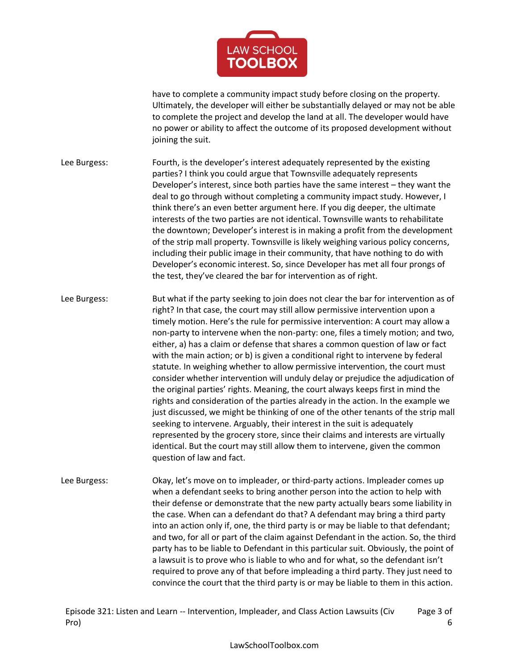

have to complete a community impact study before closing on the property. Ultimately, the developer will either be substantially delayed or may not be able to complete the project and develop the land at all. The developer would have no power or ability to affect the outcome of its proposed development without joining the suit.

- Lee Burgess: Fourth, is the developer's interest adequately represented by the existing parties? I think you could argue that Townsville adequately represents Developer's interest, since both parties have the same interest – they want the deal to go through without completing a community impact study. However, I think there's an even better argument here. If you dig deeper, the ultimate interests of the two parties are not identical. Townsville wants to rehabilitate the downtown; Developer's interest is in making a profit from the development of the strip mall property. Townsville is likely weighing various policy concerns, including their public image in their community, that have nothing to do with Developer's economic interest. So, since Developer has met all four prongs of the test, they've cleared the bar for intervention as of right.
- Lee Burgess: But what if the party seeking to join does not clear the bar for intervention as of right? In that case, the court may still allow permissive intervention upon a timely motion. Here's the rule for permissive intervention: A court may allow a non-party to intervene when the non-party: one, files a timely motion; and two, either, a) has a claim or defense that shares a common question of law or fact with the main action; or b) is given a conditional right to intervene by federal statute. In weighing whether to allow permissive intervention, the court must consider whether intervention will unduly delay or prejudice the adjudication of the original parties' rights. Meaning, the court always keeps first in mind the rights and consideration of the parties already in the action. In the example we just discussed, we might be thinking of one of the other tenants of the strip mall seeking to intervene. Arguably, their interest in the suit is adequately represented by the grocery store, since their claims and interests are virtually identical. But the court may still allow them to intervene, given the common question of law and fact.
- Lee Burgess: Okay, let's move on to impleader, or third-party actions. Impleader comes up when a defendant seeks to bring another person into the action to help with their defense or demonstrate that the new party actually bears some liability in the case. When can a defendant do that? A defendant may bring a third party into an action only if, one, the third party is or may be liable to that defendant; and two, for all or part of the claim against Defendant in the action. So, the third party has to be liable to Defendant in this particular suit. Obviously, the point of a lawsuit is to prove who is liable to who and for what, so the defendant isn't required to prove any of that before impleading a third party. They just need to convince the court that the third party is or may be liable to them in this action.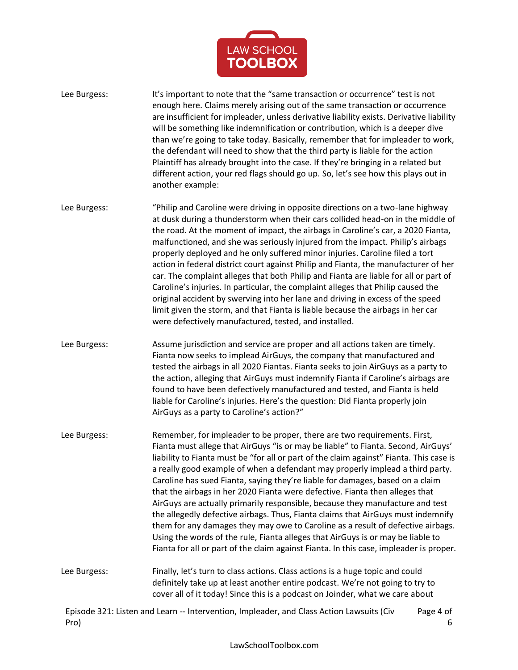

Lee Burgess: It's important to note that the "same transaction or occurrence" test is not enough here. Claims merely arising out of the same transaction or occurrence are insufficient for impleader, unless derivative liability exists. Derivative liability will be something like indemnification or contribution, which is a deeper dive than we're going to take today. Basically, remember that for impleader to work, the defendant will need to show that the third party is liable for the action Plaintiff has already brought into the case. If they're bringing in a related but different action, your red flags should go up. So, let's see how this plays out in another example:

Lee Burgess: "Philip and Caroline were driving in opposite directions on a two-lane highway at dusk during a thunderstorm when their cars collided head-on in the middle of the road. At the moment of impact, the airbags in Caroline's car, a 2020 Fianta, malfunctioned, and she was seriously injured from the impact. Philip's airbags properly deployed and he only suffered minor injuries. Caroline filed a tort action in federal district court against Philip and Fianta, the manufacturer of her car. The complaint alleges that both Philip and Fianta are liable for all or part of Caroline's injuries. In particular, the complaint alleges that Philip caused the original accident by swerving into her lane and driving in excess of the speed limit given the storm, and that Fianta is liable because the airbags in her car were defectively manufactured, tested, and installed.

Lee Burgess: Assume jurisdiction and service are proper and all actions taken are timely. Fianta now seeks to implead AirGuys, the company that manufactured and tested the airbags in all 2020 Fiantas. Fianta seeks to join AirGuys as a party to the action, alleging that AirGuys must indemnify Fianta if Caroline's airbags are found to have been defectively manufactured and tested, and Fianta is held liable for Caroline's injuries. Here's the question: Did Fianta properly join AirGuys as a party to Caroline's action?"

Lee Burgess: Remember, for impleader to be proper, there are two requirements. First, Fianta must allege that AirGuys "is or may be liable" to Fianta. Second, AirGuys' liability to Fianta must be "for all or part of the claim against" Fianta. This case is a really good example of when a defendant may properly implead a third party. Caroline has sued Fianta, saying they're liable for damages, based on a claim that the airbags in her 2020 Fianta were defective. Fianta then alleges that AirGuys are actually primarily responsible, because they manufacture and test the allegedly defective airbags. Thus, Fianta claims that AirGuys must indemnify them for any damages they may owe to Caroline as a result of defective airbags. Using the words of the rule, Fianta alleges that AirGuys is or may be liable to Fianta for all or part of the claim against Fianta. In this case, impleader is proper.

Lee Burgess: Finally, let's turn to class actions. Class actions is a huge topic and could definitely take up at least another entire podcast. We're not going to try to cover all of it today! Since this is a podcast on Joinder, what we care about

Episode 321: Listen and Learn -- Intervention, Impleader, and Class Action Lawsuits (Civ Pro) Page 4 of 6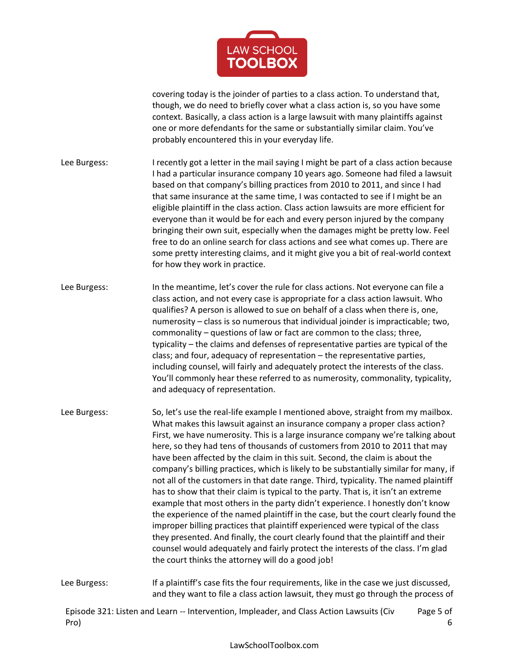

covering today is the joinder of parties to a class action. To understand that, though, we do need to briefly cover what a class action is, so you have some context. Basically, a class action is a large lawsuit with many plaintiffs against one or more defendants for the same or substantially similar claim. You've probably encountered this in your everyday life.

- Lee Burgess: I recently got a letter in the mail saying I might be part of a class action because I had a particular insurance company 10 years ago. Someone had filed a lawsuit based on that company's billing practices from 2010 to 2011, and since I had that same insurance at the same time, I was contacted to see if I might be an eligible plaintiff in the class action. Class action lawsuits are more efficient for everyone than it would be for each and every person injured by the company bringing their own suit, especially when the damages might be pretty low. Feel free to do an online search for class actions and see what comes up. There are some pretty interesting claims, and it might give you a bit of real-world context for how they work in practice.
- Lee Burgess: In the meantime, let's cover the rule for class actions. Not everyone can file a class action, and not every case is appropriate for a class action lawsuit. Who qualifies? A person is allowed to sue on behalf of a class when there is, one, numerosity – class is so numerous that individual joinder is impracticable; two, commonality – questions of law or fact are common to the class; three, typicality – the claims and defenses of representative parties are typical of the class; and four, adequacy of representation – the representative parties, including counsel, will fairly and adequately protect the interests of the class. You'll commonly hear these referred to as numerosity, commonality, typicality, and adequacy of representation.
- Lee Burgess: So, let's use the real-life example I mentioned above, straight from my mailbox. What makes this lawsuit against an insurance company a proper class action? First, we have numerosity. This is a large insurance company we're talking about here, so they had tens of thousands of customers from 2010 to 2011 that may have been affected by the claim in this suit. Second, the claim is about the company's billing practices, which is likely to be substantially similar for many, if not all of the customers in that date range. Third, typicality. The named plaintiff has to show that their claim is typical to the party. That is, it isn't an extreme example that most others in the party didn't experience. I honestly don't know the experience of the named plaintiff in the case, but the court clearly found the improper billing practices that plaintiff experienced were typical of the class they presented. And finally, the court clearly found that the plaintiff and their counsel would adequately and fairly protect the interests of the class. I'm glad the court thinks the attorney will do a good job!
- Lee Burgess: If a plaintiff's case fits the four requirements, like in the case we just discussed, and they want to file a class action lawsuit, they must go through the process of

Episode 321: Listen and Learn -- Intervention, Impleader, and Class Action Lawsuits (Civ Pro) Page 5 of 6